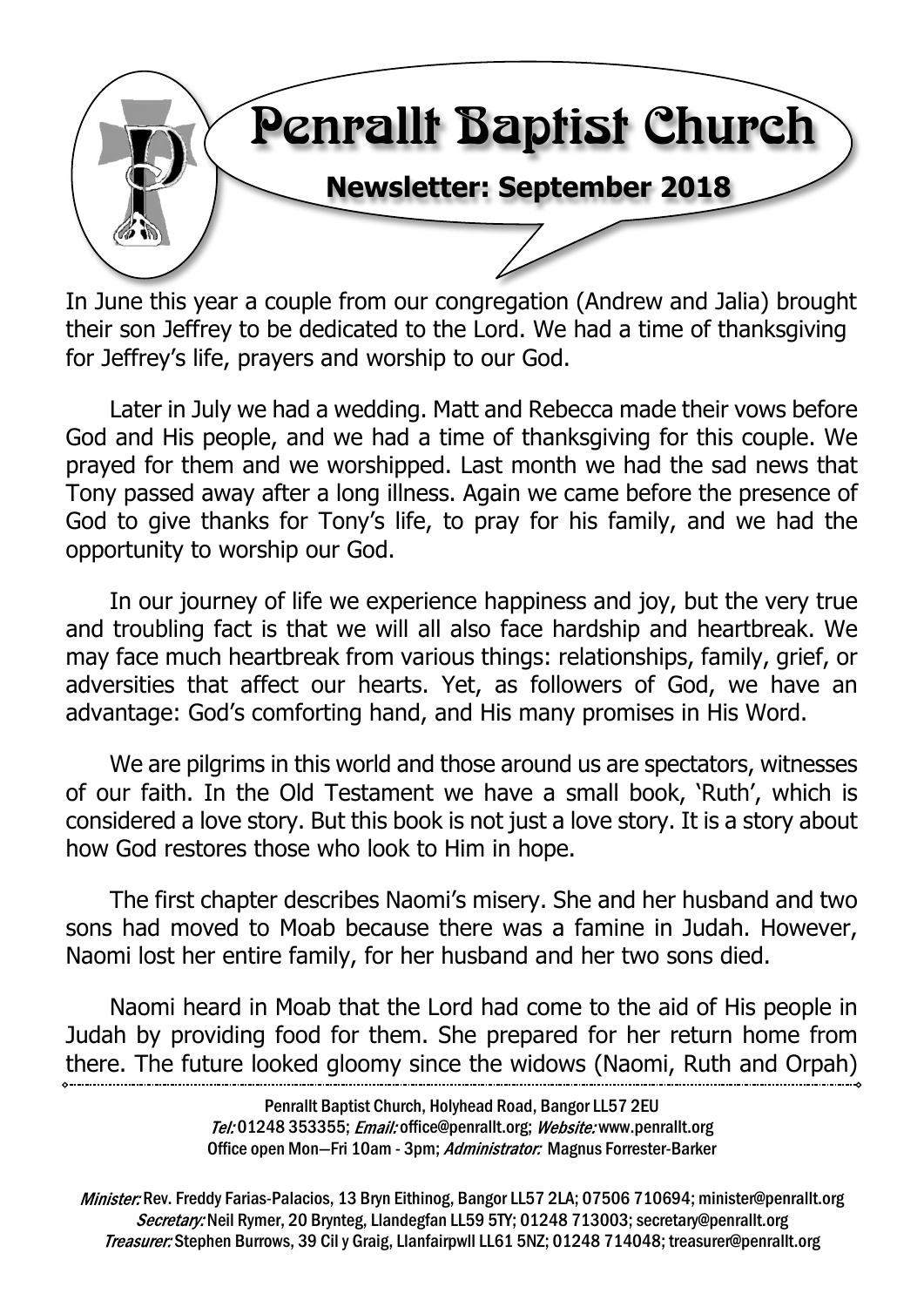

In June this year a couple from our congregation (Andrew and Jalia) brought their son Jeffrey to be dedicated to the Lord. We had a time of thanksgiving for Jeffrey's life, prayers and worship to our God.

Later in July we had a wedding. Matt and Rebecca made their vows before God and His people, and we had a time of thanksgiving for this couple. We prayed for them and we worshipped. Last month we had the sad news that Tony passed away after a long illness. Again we came before the presence of God to give thanks for Tony's life, to pray for his family, and we had the opportunity to worship our God.

In our journey of life we experience happiness and joy, but the very true and troubling fact is that we will all also face hardship and heartbreak. We may face much heartbreak from various things: relationships, family, grief, or adversities that affect our hearts. Yet, as followers of God, we have an advantage: God's comforting hand, and His many promises in His Word.

We are pilgrims in this world and those around us are spectators, witnesses of our faith. In the Old Testament we have a small book, 'Ruth', which is considered a love story. But this book is not just a love story. It is a story about how God restores those who look to Him in hope.

The first chapter describes Naomi's misery. She and her husband and two sons had moved to Moab because there was a famine in Judah. However, Naomi lost her entire family, for her husband and her two sons died.

Naomi heard in Moab that the Lord had come to the aid of His people in Judah by providing food for them. She prepared for her return home from there. The future looked gloomy since the widows (Naomi, Ruth and Orpah)

> Penrallt Baptist Church, Holyhead Road, Bangor LL57 2EU Tel:01248 353355; Email: office@penrallt.org; Website: www.penrallt.org Office open Mon-Fri 10am - 3pm; Administrator: Magnus Forrester-Barker

Minister: Rev. Freddy Farias-Palacios, 13 Bryn Eithinog, Bangor LL57 2LA; 07506 710694; minister@penrallt.org Secretary: Neil Rymer, 20 Brynteg, Llandegfan LL59 5TY; 01248 713003; secretary@penrallt.org Treasurer: Stephen Burrows, 39 Cil y Graig, Llanfairpwll LL61 5NZ; 01248 714048; treasurer@penrallt.org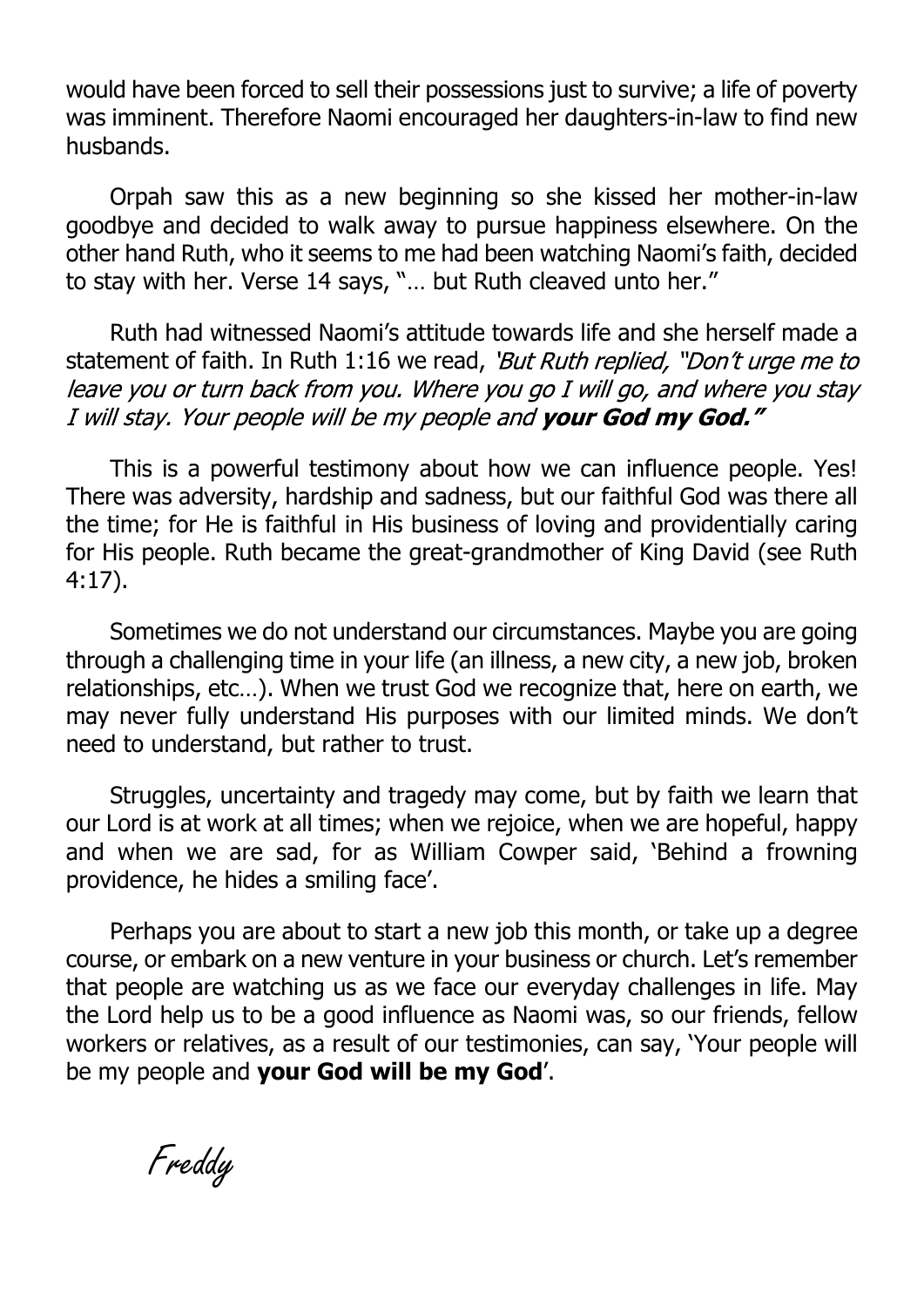would have been forced to sell their possessions just to survive; a life of poverty was imminent. Therefore Naomi encouraged her daughters-in-law to find new husbands.

Orpah saw this as a new beginning so she kissed her mother-in-law goodbye and decided to walk away to pursue happiness elsewhere. On the other hand Ruth, who it seems to me had been watching Naomi's faith, decided to stay with her. Verse 14 says, "… but Ruth cleaved unto her."

Ruth had witnessed Naomi's attitude towards life and she herself made a statement of faith. In Ruth 1:16 we read, 'But Ruth replied, "Don't urge me to<br>leave you or turn back from you. Where you go I will go, and where you stay I will stay. Your people will be my people and your God my God."

This is a powerful testimony about how we can influence people. Yes! There was adversity, hardship and sadness, but our faithful God was there all the time; for He is faithful in His business of loving and providentially caring for His people. Ruth became the great-grandmother of King David (see Ruth 4:17).

Sometimes we do not understand our circumstances. Maybe you are going through a challenging time in your life (an illness, a new city, a new job, broken relationships, etc…). When we trust God we recognize that, here on earth, we may never fully understand His purposes with our limited minds. We don't need to understand, but rather to trust.

Struggles, uncertainty and tragedy may come, but by faith we learn that our Lord is at work at all times; when we rejoice, when we are hopeful, happy and when we are sad, for as William Cowper said, 'Behind a frowning providence, he hides a smiling face'.

Perhaps you are about to start a new job this month, or take up a degree course, or embark on a new venture in your business or church. Let's remember that people are watching us as we face our everyday challenges in life. May the Lord help us to be a good influence as Naomi was, so our friends, fellow workers or relatives, as a result of our testimonies, can say, 'Your people will be my people and **your God will be my God**'.

Freddy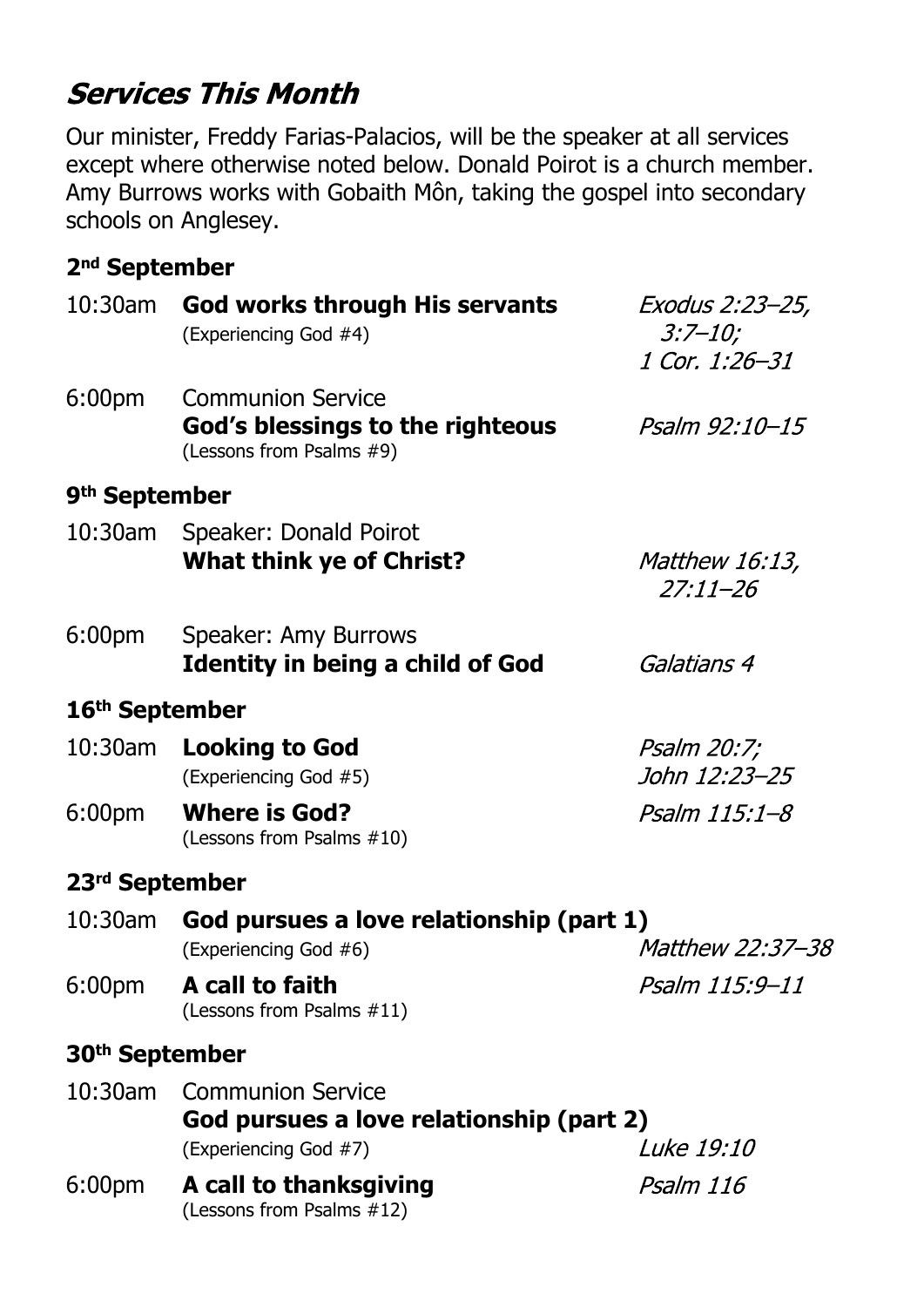# **Services This Month**

Our minister, Freddy Farias-Palacios, will be the speaker at all services except where otherwise noted below. Donald Poirot is a church member. Amy Burrows works with Gobaith Môn, taking the gospel into secondary schools on Anglesey.

#### **2nd September**

| 10:30am                    | God works through His servants<br>(Experiencing God #4)                                                            | Exodus 2:23–25,<br>$3:7 - 10;$        |  |  |  |
|----------------------------|--------------------------------------------------------------------------------------------------------------------|---------------------------------------|--|--|--|
|                            |                                                                                                                    | 1 Cor. 1:26-31                        |  |  |  |
| 6:00 <sub>pm</sub>         | <b>Communion Service</b><br>God's blessings to the righteous<br>(Lessons from Psalms #9)                           | Psalm 92:10-15                        |  |  |  |
| 9 <sup>th</sup> September  |                                                                                                                    |                                       |  |  |  |
|                            | 10:30am Speaker: Donald Poirot<br><b>What think ye of Christ?</b>                                                  | <i>Matthew 16:13,</i><br>$27:11 - 26$ |  |  |  |
| 6:00pm                     | Speaker: Amy Burrows<br><b>Identity in being a child of God</b>                                                    | Galatians 4                           |  |  |  |
| 16 <sup>th</sup> September |                                                                                                                    |                                       |  |  |  |
|                            | 10:30am Looking to God<br>(Experiencing God #5)                                                                    | Psalm 20:7;<br>John 12:23-25          |  |  |  |
| 6:00pm                     | <b>Where is God?</b><br>(Lessons from Psalms #10)                                                                  | Psalm 115:1–8                         |  |  |  |
| 23 <sup>rd</sup> September |                                                                                                                    |                                       |  |  |  |
|                            | 10:30am God pursues a love relationship (part 1)                                                                   |                                       |  |  |  |
|                            | (Experiencing God #6)                                                                                              | <i>Matthew 22:37-38</i>               |  |  |  |
| 6:00pm                     | A call to faith<br>(Lessons from Psalms #11)                                                                       | Psalm 115:9-11                        |  |  |  |
| 30 <sup>th</sup> September |                                                                                                                    |                                       |  |  |  |
| $10:30$ am                 | <b>Communion Service</b><br>God pursues a love relationship (part 2)<br><i>Luke 19:10</i><br>(Experiencing God #7) |                                       |  |  |  |
| 6:00 <sub>pm</sub>         | A call to thanksgiving<br>(Lessons from Psalms #12)                                                                | Psalm 116                             |  |  |  |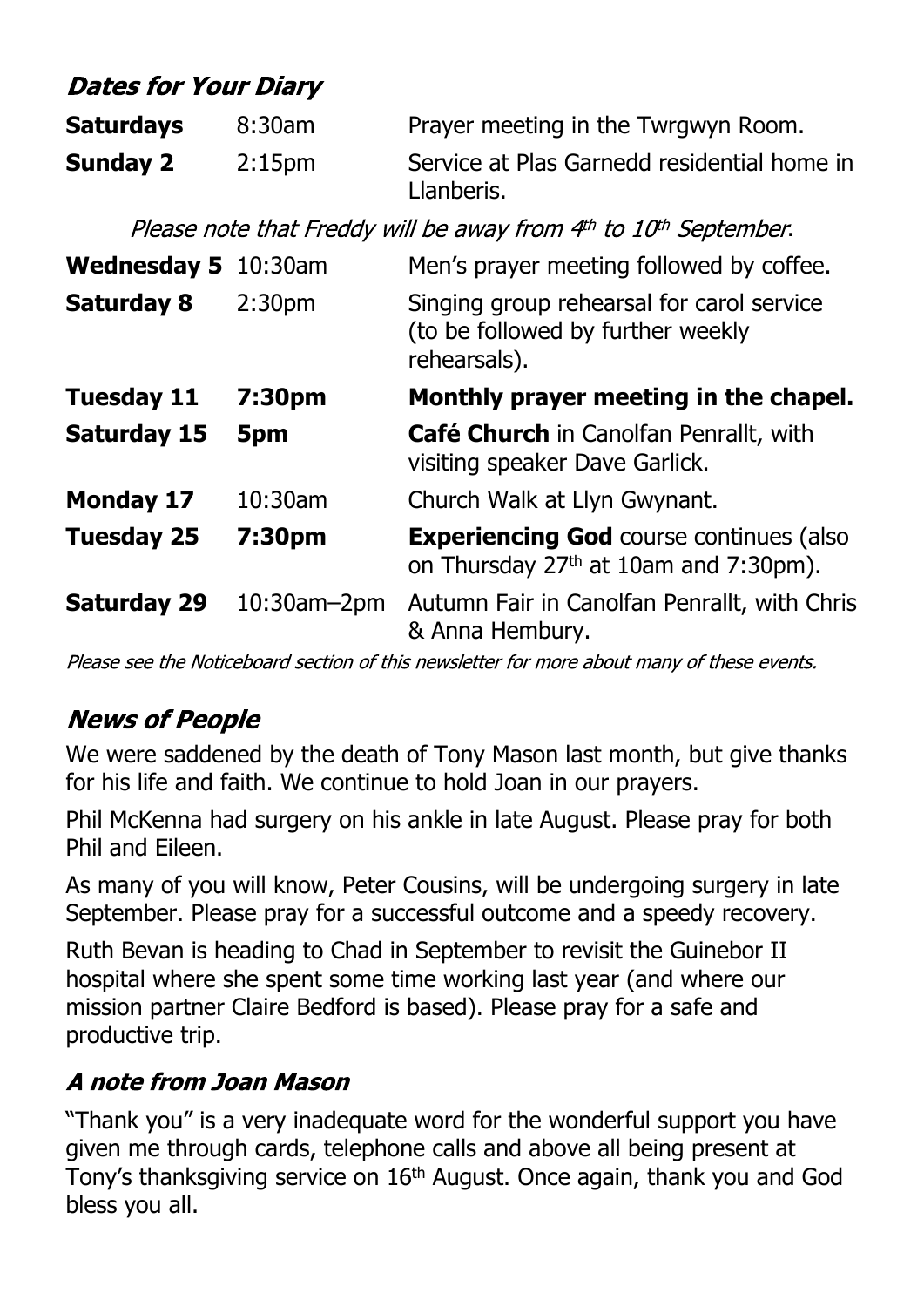## **Dates for Your Diary**

| <b>Saturdays</b> | 8:30am             | Prayer meeting in the Twrgwyn Room.                       |
|------------------|--------------------|-----------------------------------------------------------|
| <b>Sunday 2</b>  | 2:15 <sub>pm</sub> | Service at Plas Garnedd residential home in<br>Llanberis. |

Please note that Freddy will be away from 4th to 10th September.

| <b>Wednesday 5</b> 10:30am |                    | Men's prayer meeting followed by coffee.                                                            |
|----------------------------|--------------------|-----------------------------------------------------------------------------------------------------|
| <b>Saturday 8</b>          | 2:30 <sub>pm</sub> | Singing group rehearsal for carol service<br>(to be followed by further weekly<br>rehearsals).      |
| <b>Tuesday 11</b>          | 7:30pm             | Monthly prayer meeting in the chapel.                                                               |
| <b>Saturday 15</b>         | 5pm                | <b>Café Church</b> in Canolfan Penrallt, with<br>visiting speaker Dave Garlick.                     |
| <b>Monday 17</b>           | 10:30am            | Church Walk at Llyn Gwynant.                                                                        |
| <b>Tuesday 25</b>          | 7:30pm             | <b>Experiencing God course continues (also</b><br>on Thursday 27 <sup>th</sup> at 10am and 7:30pm). |
| <b>Saturday 29</b>         | $10:30$ am $-2$ pm | Autumn Fair in Canolfan Penrallt, with Chris<br>& Anna Hembury.                                     |

Please see the Noticeboard section of this newsletter for more about many of these events.

## **News of People**

We were saddened by the death of Tony Mason last month, but give thanks for his life and faith. We continue to hold Joan in our prayers.

Phil McKenna had surgery on his ankle in late August. Please pray for both Phil and Eileen.

As many of you will know, Peter Cousins, will be undergoing surgery in late September. Please pray for a successful outcome and a speedy recovery.

Ruth Bevan is heading to Chad in September to revisit the Guinebor II hospital where she spent some time working last year (and where our mission partner Claire Bedford is based). Please pray for a safe and productive trip.

## A note from Joan Mason

"Thank you" is a very inadequate word for the wonderful support you have given me through cards, telephone calls and above all being present at Tony's thanksgiving service on 16th August. Once again, thank you and God bless you all.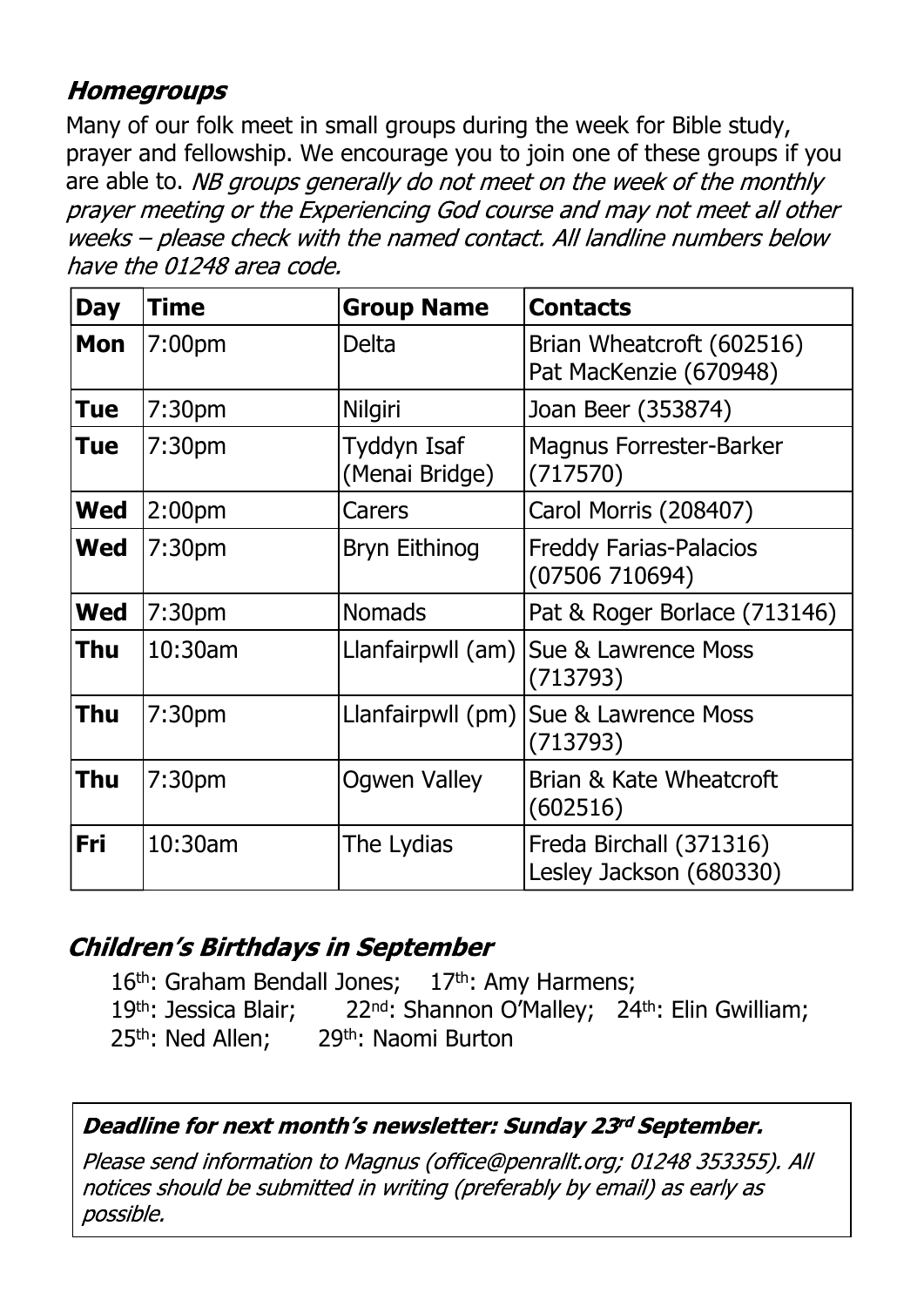#### **Homegroups**

Many of our folk meet in small groups during the week for Bible study, prayer and fellowship. We encourage you to join one of these groups if you are able to. NB groups generally do not meet on the week of the monthly prayer meeting or the Experiencing God course and may not meet all other weeks - please check with the named contact. All landline numbers below have the 01248 area code.

| <b>Day</b> | <b>Time</b>        | <b>Group Name</b>             | <b>Contacts</b>                                     |
|------------|--------------------|-------------------------------|-----------------------------------------------------|
| <b>Mon</b> | 7:00pm             | <b>Delta</b>                  | Brian Wheatcroft (602516)<br>Pat MacKenzie (670948) |
| <b>Tue</b> | 7:30 <sub>pm</sub> | <b>Nilgiri</b>                | Joan Beer (353874)                                  |
| <b>Tue</b> | 7:30 <sub>pm</sub> | Tyddyn Isaf<br>(Menai Bridge) | <b>Magnus Forrester-Barker</b><br>(717570)          |
| <b>Wed</b> | 2:00 <sub>pm</sub> | Carers                        | Carol Morris (208407)                               |
| <b>Wed</b> | 7:30 <sub>pm</sub> | Bryn Eithinog                 | <b>Freddy Farias-Palacios</b><br>(07506710694)      |
| <b>Wed</b> | 7:30 <sub>pm</sub> | <b>Nomads</b>                 | Pat & Roger Borlace (713146)                        |
| <b>Thu</b> | 10:30am            |                               | Llanfairpwll (am)   Sue & Lawrence Moss<br>(713793) |
| Thu        | 7:30 <sub>pm</sub> | Llanfairpwll (pm)             | Sue & Lawrence Moss<br>(713793)                     |
| Thu        | 7:30 <sub>pm</sub> | <b>Ogwen Valley</b>           | Brian & Kate Wheatcroft<br>(602516)                 |
| Fri        | 10:30am            | The Lydias                    | Freda Birchall (371316)<br>Lesley Jackson (680330)  |

## **Children's Birthdays in September**

16<sup>th</sup>: Graham Bendall Jones; 17<sup>th</sup>: Amy Harmens; 19th: Jessica Blair; 22<sup>nd</sup>: Shannon O'Malley; 24<sup>th</sup>: Elin Gwilliam; 25<sup>th</sup>: Ned Allen; 29<sup>th</sup>: Naomi Burton

#### Deadline for next month's newsletter: Sunday 23rd September.

Please send information to Magnus (office@penrallt.org; 01248 353355). All notices should be submitted in writing (preferably by email) as early as possible.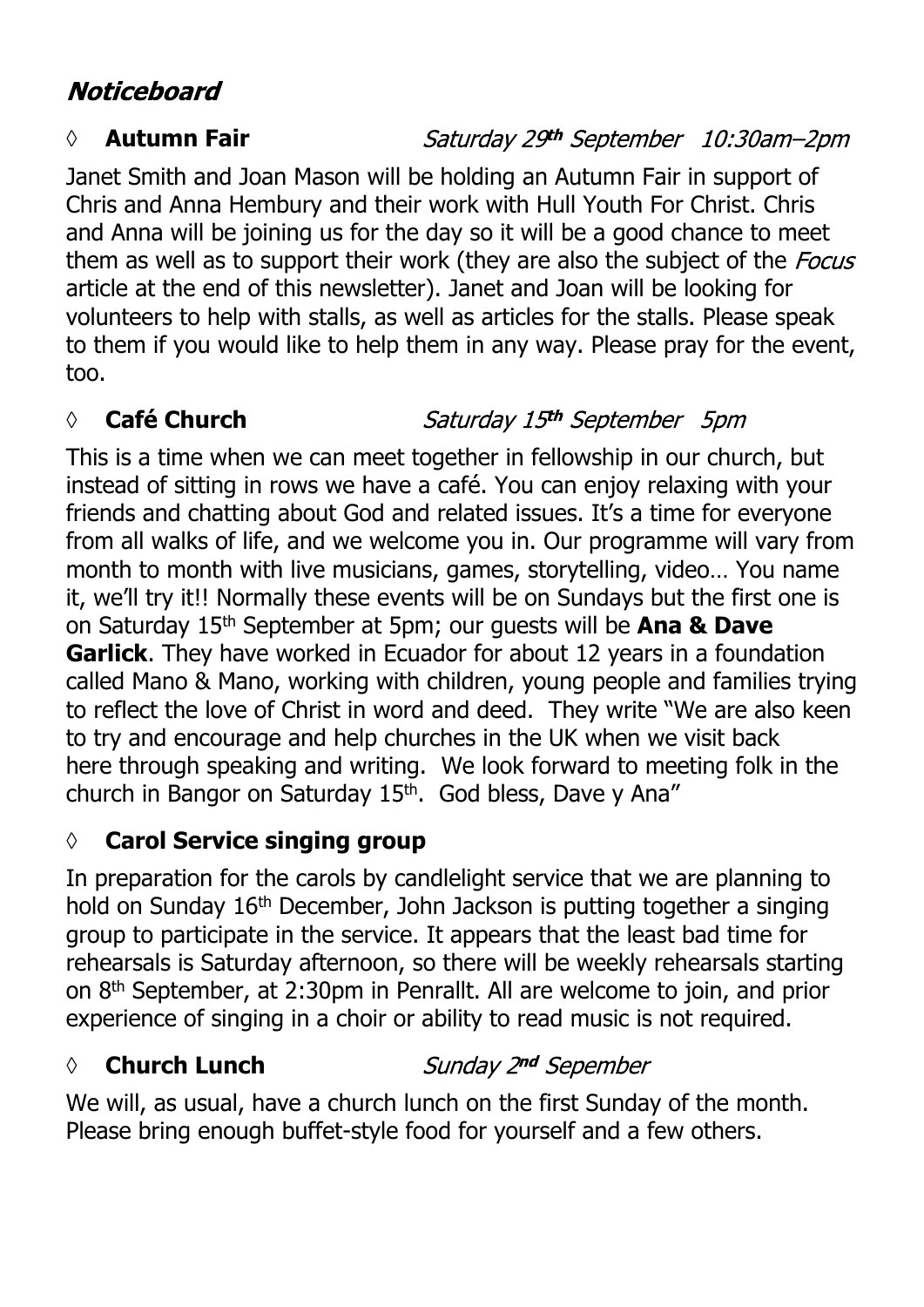## **Noticeboard**

#### *◊* **Autumn Fair**

#### Saturday 29th September 10:30am-2pm

Janet Smith and Joan Mason will be holding an Autumn Fair in support of Chris and Anna Hembury and their work with Hull Youth For Christ. Chris and Anna will be joining us for the day so it will be a good chance to meet them as well as to support their work (they are also the subject of the *Focus* article at the end of this newsletter). Janet and Joan will be looking for volunteers to help with stalls, as well as articles for the stalls. Please speak to them if you would like to help them in any way. Please pray for the event, too.

## *◊* **Café Church**

## Saturday 15th September 5pm

This is a time when we can meet together in fellowship in our church, but instead of sitting in rows we have a café. You can enjoy relaxing with your friends and chatting about God and related issues. It's a time for everyone from all walks of life, and we welcome you in. Our programme will vary from month to month with live musicians, games, storytelling, video… You name it, we'll try it!! Normally these events will be on Sundays but the first one is on Saturday 15th September at 5pm; our guests will be **Ana & Dave Garlick**. They have worked in Ecuador for about 12 years in a foundation called Mano & Mano, working with children, young people and families trying to reflect the love of Christ in word and deed. They write "We are also keen to try and encourage and help churches in the UK when we visit back here through speaking and writing. We look forward to meeting folk in the church in Bangor on Saturday 15th. God bless, Dave y Ana"

## **◊ Carol Service singing group**

In preparation for the carols by candlelight service that we are planning to hold on Sunday 16th December, John Jackson is putting together a singing group to participate in the service. It appears that the least bad time for rehearsals is Saturday afternoon, so there will be weekly rehearsals starting on 8th September, at 2:30pm in Penrallt. All are welcome to join, and prior experience of singing in a choir or ability to read music is not required.

## **◊ Church Lunch**

#### Sunday 2nd Sepember

We will, as usual, have a church lunch on the first Sunday of the month. Please bring enough buffet-style food for yourself and a few others.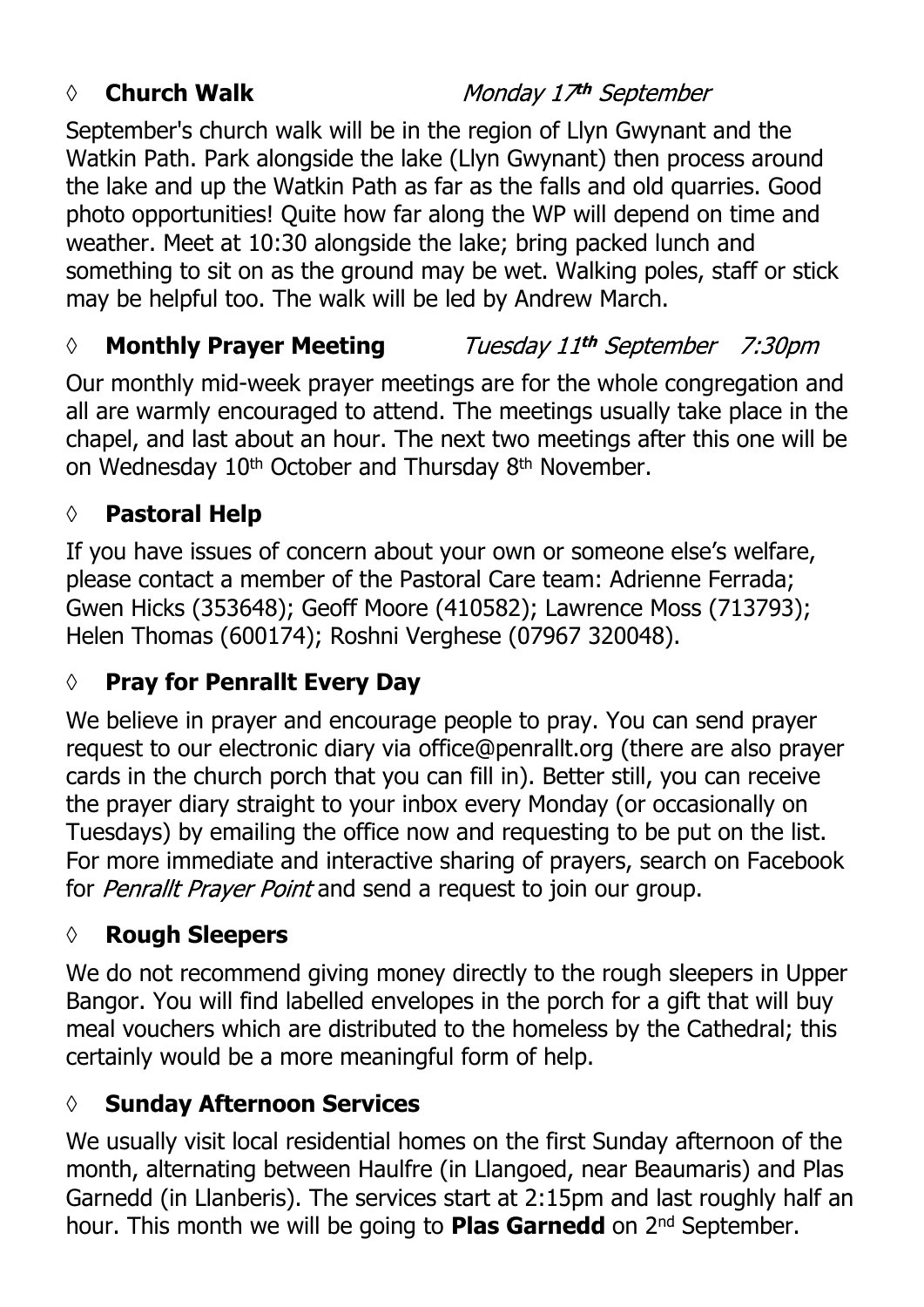#### *◊* **Church Walk**

Monday 17th September

September's church walk will be in the region of Llyn Gwynant and the Watkin Path. Park alongside the lake (Llyn Gwynant) then process around the lake and up the Watkin Path as far as the falls and old quarries. Good photo opportunities! Quite how far along the WP will depend on time and weather. Meet at 10:30 alongside the lake; bring packed lunch and something to sit on as the ground may be wet. Walking poles, staff or stick may be helpful too. The walk will be led by Andrew March.

#### *◊* **Monthly Prayer Meeting** Tuesday 11th September 7:30pm

Our monthly mid-week prayer meetings are for the whole congregation and all are warmly encouraged to attend. The meetings usually take place in the chapel, and last about an hour. The next two meetings after this one will be on Wednesday 10<sup>th</sup> October and Thursday 8<sup>th</sup> November.

#### **◊ Pastoral Help**

If you have issues of concern about your own or someone else's welfare, please contact a member of the Pastoral Care team: Adrienne Ferrada; Gwen Hicks (353648); Geoff Moore (410582); Lawrence Moss (713793); Helen Thomas (600174); Roshni Verghese (07967 320048).

## **◊ Pray for Penrallt Every Day**

We believe in prayer and encourage people to pray. You can send prayer request to our electronic diary via office@penrallt.org (there are also prayer cards in the church porch that you can fill in). Better still, you can receive the prayer diary straight to your inbox every Monday (or occasionally on Tuesdays) by emailing the office now and requesting to be put on the list. For more immediate and interactive sharing of prayers, search on Facebook for Penrallt Prayer Point and send a request to join our group.

## **◊ Rough Sleepers**

We do not recommend giving money directly to the rough sleepers in Upper Bangor. You will find labelled envelopes in the porch for a gift that will buy meal vouchers which are distributed to the homeless by the Cathedral; this certainly would be a more meaningful form of help.

## **◊ Sunday Afternoon Services**

We usually visit local residential homes on the first Sunday afternoon of the month, alternating between Haulfre (in Llangoed, near Beaumaris) and Plas Garnedd (in Llanberis). The services start at 2:15pm and last roughly half an hour. This month we will be going to **Plas Garnedd** on 2nd September.